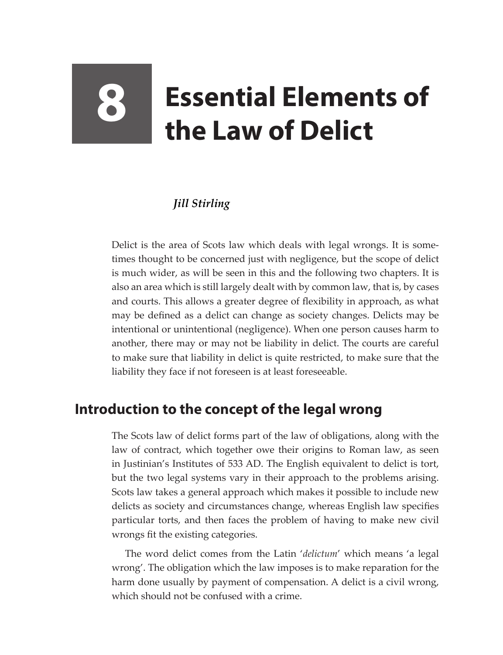# **8 Essential Elements of the Law of Delict**

#### *Jill Stirling*

Delict is the area of Scots law which deals with legal wrongs. It is sometimes thought to be concerned just with negligence, but the scope of delict is much wider, as will be seen in this and the following two chapters. It is also an area which is still largely dealt with by common law, that is, by cases and courts. This allows a greater degree of flexibility in approach, as what may be defined as a delict can change as society changes. Delicts may be intentional or unintentional (negligence). When one person causes harm to another, there may or may not be liability in delict. The courts are careful to make sure that liability in delict is quite restricted, to make sure that the liability they face if not foreseen is at least foreseeable.

## **Introduction to the concept of the legal wrong**

The Scots law of delict forms part of the law of obligations, along with the law of contract, which together owe their origins to Roman law, as seen in Justinian's Institutes of 533 AD. The English equivalent to delict is tort, but the two legal systems vary in their approach to the problems arising. Scots law takes a general approach which makes it possible to include new delicts as society and circumstances change, whereas English law specifies particular torts, and then faces the problem of having to make new civil wrongs fit the existing categories.

The word delict comes from the Latin '*delictum*' which means 'a legal wrong'. The obligation which the law imposes is to make reparation for the harm done usually by payment of compensation. A delict is a civil wrong, which should not be confused with a crime.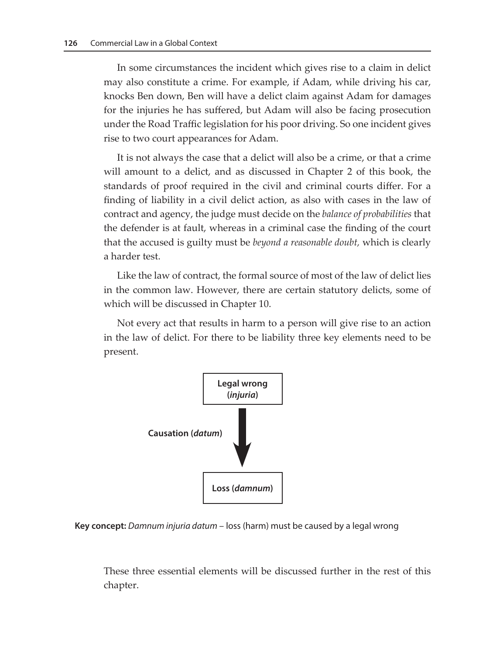In some circumstances the incident which gives rise to a claim in delict may also constitute a crime. For example, if Adam, while driving his car, knocks Ben down, Ben will have a delict claim against Adam for damages for the injuries he has suffered, but Adam will also be facing prosecution under the Road Traffic legislation for his poor driving. So one incident gives rise to two court appearances for Adam.

It is not always the case that a delict will also be a crime, or that a crime will amount to a delict, and as discussed in Chapter 2 of this book, the standards of proof required in the civil and criminal courts differ. For a finding of liability in a civil delict action, as also with cases in the law of contract and agency, the judge must decide on the *balance of probabilities* that the defender is at fault, whereas in a criminal case the finding of the court that the accused is guilty must be *beyond a reasonable doubt,* which is clearly a harder test.

Like the law of contract, the formal source of most of the law of delict lies in the common law. However, there are certain statutory delicts, some of which will be discussed in Chapter 10.

Not every act that results in harm to a person will give rise to an action in the law of delict. For there to be liability three key elements need to be present.



**Key concept:** *Damnum injuria datum* – loss (harm) must be caused by a legal wrong

These three essential elements will be discussed further in the rest of this chapter.